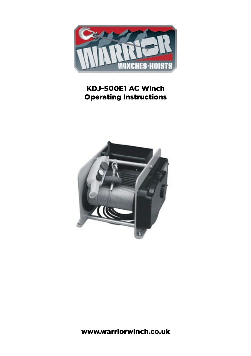

#### KDJ-500E1 AC Winch Operating Instructions



1 www.warriorwinch.co.uk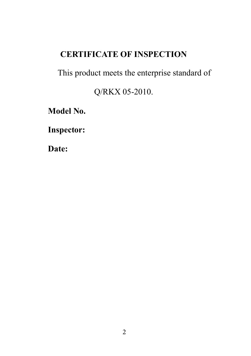## **CERTIFICATE OF INSPECTION**

This product meets the enterprise standard of

Q/RKX 05-2010.

**Model No.**

**Inspector:**

**Date:**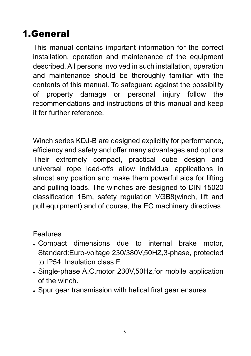# 1.General

This manual contains important information for the correct installation, operation and maintenance of the equipment described. All persons involved in such installation, operation and maintenance should be thoroughly familiar with the contents of this manual. To safeguard against the possibility of property damage or personal injury follow the recommendations and instructions of this manual and keep it for further reference.

Winch series KDJ-B are designed explicitly for performance, efficiency and safety and offer many advantages and options. Their extremely compact, practical cube design and universal rope lead-offs allow individual applications in almost any position and make them powerful aids for lifting and pulling loads. The winches are designed to DIN 15020 classification 1Bm, safety regulation VGB8(winch, lift and pull equipment) and of course, the EC machinery directives.

#### Features

- Compact dimensions due to internal brake motor, Standard:Euro-voltage 230/380V,50HZ,3-phase, protected to IP54, Insulation class F.
- Single-phase A.C.motor 230V,50Hz,for mobile application of the winch.
- Spur gear transmission with helical first gear ensures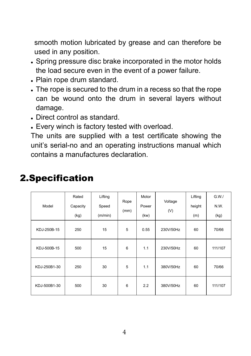smooth motion lubricated by grease and can therefore be used in any position.

- Spring pressure disc brake incorporated in the motor holds the load secure even in the event of a power failure.
- Plain rope drum standard.
- The rope is secured to the drum in a recess so that the rope can be wound onto the drum in several layers without damage.
- Direct control as standard.
- Every winch is factory tested with overload.

The units are supplied with a test certificate showing the unit's serial-no and an operating instructions manual which contains a manufactures declaration.

| Model        | Rated<br>Capacity<br>(kg) | Lifting<br>Speed<br>(m/min) | Rope<br>(mm) | Motor<br>Power<br>(kw) | Voltage<br>(V) | Lifting<br>height<br>(m) | G.W.<br>N.W.<br>(kg) |
|--------------|---------------------------|-----------------------------|--------------|------------------------|----------------|--------------------------|----------------------|
| KDJ-250B-15  | 250                       | 15                          | 5            | 0.55                   | 230V/50Hz      | 60                       | 70/66                |
| KDJ-500B-15  | 500                       | 15                          | 6            | 1.1                    | 230V/50Hz      | 60                       | 111/107              |
| KDJ-250B1-30 | 250                       | 30                          | 5            | 1.1                    | 380V/50Hz      | 60                       | 70/66                |
| KDJ-500B1-30 | 500                       | 30                          | 6            | 2.2                    | 380V/50Hz      | 60                       | 111/107              |

# 2.Specification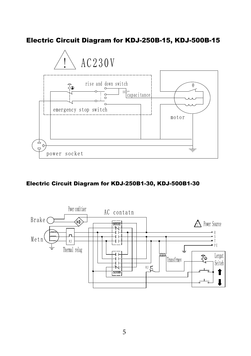#### Electric Circuit Diagram for KDJ-250B-15, KDJ-500B-15



#### Electric Circuit Diagram for KDJ-250B1-30, KDJ-500B1-30

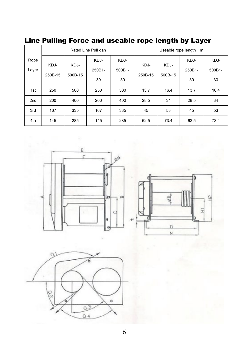|  |  |  |  | Line Pulling Force and useable rope length by Layer |  |  |  |  |
|--|--|--|--|-----------------------------------------------------|--|--|--|--|
|--|--|--|--|-----------------------------------------------------|--|--|--|--|

|                 | Rated Line Pull dan |         |        |        | Useable rope length m |         |        |        |
|-----------------|---------------------|---------|--------|--------|-----------------------|---------|--------|--------|
| Rope            |                     |         | KDJ-   | KDJ-   |                       |         | KDJ-   | KDJ-   |
| Layer           | KDJ-                | KDJ-    | 250B1- | 500B1- | KDJ-                  | KDJ-    | 250B1- | 500B1- |
|                 | 250B-15             | 500B-15 | 30     | 30     | 250B-15               | 500B-15 | 30     | 30     |
| 1st             | 250                 | 500     | 250    | 500    | 13.7                  | 16.4    | 13.7   | 16.4   |
| 2 <sub>nd</sub> | 200                 | 400     | 200    | 400    | 28.5                  | 34      | 28.5   | 34     |
| 3rd             | 167                 | 335     | 167    | 335    | 45                    | 53      | 45     | 53     |
| 4th             | 145                 | 285     | 145    | 285    | 62.5                  | 73.4    | 62.5   | 73.4   |



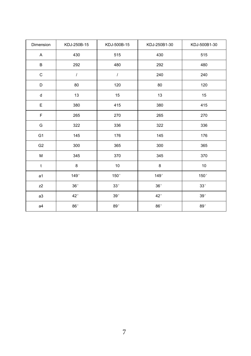| Dimension      | KDJ-250B-15  | KDJ-500B-15 | KDJ-250B1-30 | KDJ-500B1-30 |  |
|----------------|--------------|-------------|--------------|--------------|--|
| A              | 430          | 515         | 430          | 515          |  |
| В              | 292          | 480         | 292          | 480          |  |
| $\mathbf C$    | I            | $\sqrt{ }$  | 240          | 240          |  |
| D              | 80           | 120         | 80           | 120          |  |
| d              | 13           | 15          | 13           | 15           |  |
| E              | 380          | 415         | 380          | 415          |  |
| F              | 265          | 270         | 265          | 270          |  |
| G              | 322          | 336         | 322          | 336          |  |
| G <sub>1</sub> | 145          | 176         | 145          | 176          |  |
| G <sub>2</sub> | 300          | 365         | 300          | 365          |  |
| М              | 345          | 370         | 345          | 370          |  |
| $\mathsf{t}$   | 8            | 10          | 8            | 10           |  |
| a1             | 149°         | 150°        | 149°         | 150°         |  |
| z2             | 36°          | $33^\circ$  | $36^\circ$   | 33°          |  |
| a3             | $42^{\circ}$ | 39°         | $42^{\circ}$ | 39°          |  |
| a4             | 86°          | 89°         | 86°          | $89^{\circ}$ |  |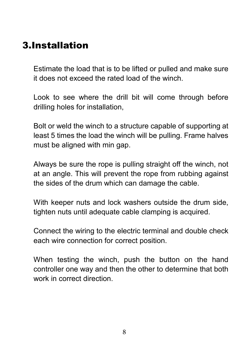# 3.Installation

Estimate the load that is to be lifted or pulled and make sure it does not exceed the rated load of the winch.

Look to see where the drill bit will come through before drilling holes for installation,

Bolt or weld the winch to a structure capable of supporting at least 5 times the load the winch will be pulling. Frame halves must be aligned with min gap.

Always be sure the rope is pulling straight off the winch, not at an angle. This will prevent the rope from rubbing against the sides of the drum which can damage the cable.

With keeper nuts and lock washers outside the drum side, tighten nuts until adequate cable clamping is acquired.

Connect the wiring to the electric terminal and double check each wire connection for correct position.

When testing the winch, push the button on the hand controller one way and then the other to determine that both work in correct direction.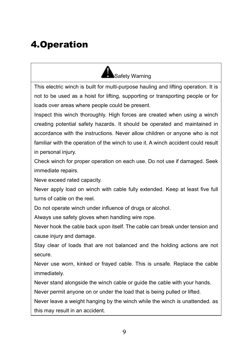# 4.Operation



This electric winch is built for multi-purpose hauling and lifting operation. It is not to be used as a hoist for lifting, supporting or transporting people or for loads over areas where people could be present.

Inspect this winch thoroughly. High forces are created when using a winch creating potential safety hazards. It should be operated and maintained in accordance with the instructions. Never allow children or anyone who is not familiar with the operation of the winch to use it. A winch accident could result in personal injury.

Check winch for proper operation on each use. Do not use if damaged. Seek immediate repairs.

Neve exceed rated capacity.

Never apply load on winch with cable fully extended. Keep at least five full turns of cable on the reel.

Do not operate winch under influence of drugs or alcohol.

Always use safety gloves when handling wire rope.

Never hook the cable back upon itself. The cable can break under tension and cause injury and damage.

Stay clear of loads that are not balanced and the holding actions are not secure.

Never use worn, kinked or frayed cable. This is unsafe. Replace the cable immediately.

Never stand alongside the winch cable or guide the cable with your hands.

Never permit anyone on or under the load that is being pulled or lifted.

Never leave a weight hanging by the winch while the winch is unattended. as this may result in an accident.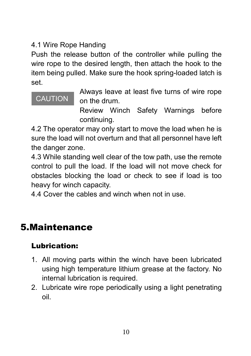### 4.1 Wire Rope Handing

Push the release button of the controller while pulling the wire rope to the desired length, then attach the hook to the item being pulled. Make sure the hook spring-loaded latch is set.

## CAUTION

Always leave at least five turns of wire rope on the drum.

Review Winch Safety Warnings before continuing.

4.2 The operator may only start to move the load when he is sure the load will not overturn and that all personnel have left the danger zone.

4.3 While standing well clear of the tow path, use the remote control to pull the load. If the load will not move check for obstacles blocking the load or check to see if load is too heavy for winch capacity.

4.4 Cover the cables and winch when not in use.

# 5.Maintenance

## Lubrication:

- 1. All moving parts within the winch have been lubricated using high temperature lithium grease at the factory. No internal lubrication is required.
- 2. Lubricate wire rope periodically using a light penetrating oil.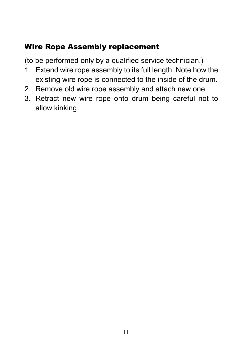### Wire Rope Assembly replacement

(to be performed only by a qualified service technician.)

- 1. Extend wire rope assembly to its full length. Note how the existing wire rope is connected to the inside of the drum.
- 2. Remove old wire rope assembly and attach new one.
- 3. Retract new wire rope onto drum being careful not to allow kinking.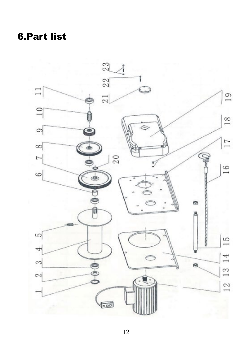# 6.Part list